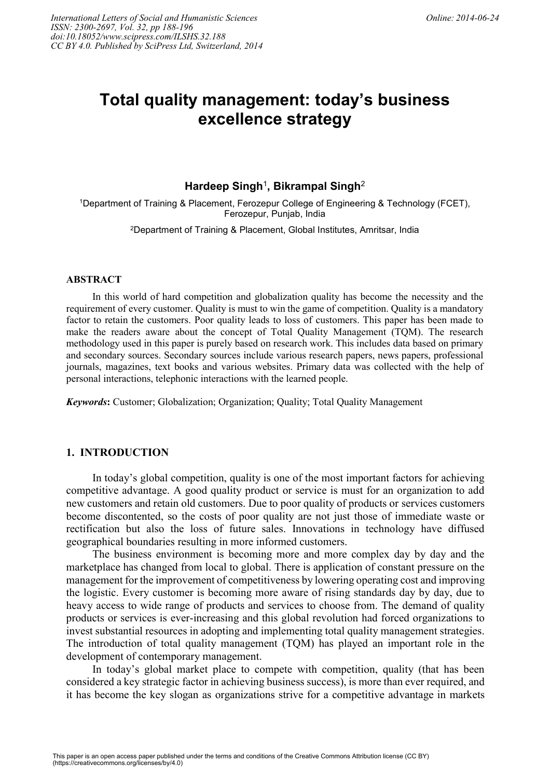# **Total quality management: today's business excellence strategy**

# **Hardeep Singh**<sup>1</sup> **, Bikrampal Singh**<sup>2</sup>

<sup>1</sup>Department of Training & Placement, Ferozepur College of Engineering & Technology (FCET), Ferozepur, Punjab, India

<sup>2</sup>Department of Training & Placement, Global Institutes, Amritsar, India

#### **ABSTRACT**

In this world of hard competition and globalization quality has become the necessity and the requirement of every customer. Quality is must to win the game of competition. Quality is a mandatory factor to retain the customers. Poor quality leads to loss of customers. This paper has been made to make the readers aware about the concept of Total Quality Management (TQM). The research methodology used in this paper is purely based on research work. This includes data based on primary and secondary sources. Secondary sources include various research papers, news papers, professional journals, magazines, text books and various websites. Primary data was collected with the help of personal interactions, telephonic interactions with the learned people.

*Keywords***:** Customer; Globalization; Organization; Quality; Total Quality Management

# **1. INTRODUCTION**

In today's global competition, quality is one of the most important factors for achieving competitive advantage. A good quality product or service is must for an organization to add new customers and retain old customers. Due to poor quality of products or services customers become discontented, so the costs of poor quality are not just those of immediate waste or rectification but also the loss of future sales. Innovations in technology have diffused geographical boundaries resulting in more informed customers.

The business environment is becoming more and more complex day by day and the marketplace has changed from local to global. There is application of constant pressure on the management for the improvement of competitiveness by lowering operating cost and improving the logistic. Every customer is becoming more aware of rising standards day by day, due to heavy access to wide range of products and services to choose from. The demand of quality products or services is ever-increasing and this global revolution had forced organizations to invest substantial resources in adopting and implementing total quality management strategies. The introduction of total quality management (TQM) has played an important role in the development of contemporary management.

In today's global market place to compete with competition, quality (that has been considered a key strategic factor in achieving business success), is more than ever required, and it has become the key slogan as organizations strive for a competitive advantage in markets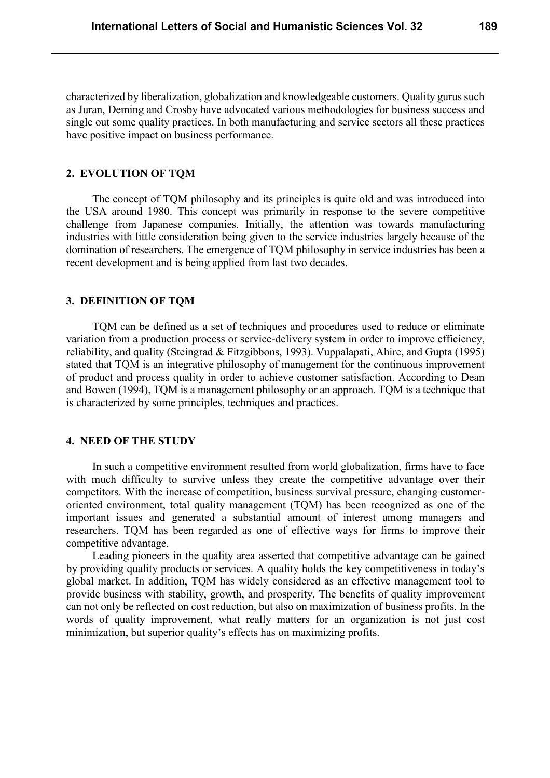characterized by liberalization, globalization and knowledgeable customers. Quality gurus such as Juran, Deming and Crosby have advocated various methodologies for business success and single out some quality practices. In both manufacturing and service sectors all these practices have positive impact on business performance.

### **2. EVOLUTION OF TQM**

The concept of TQM philosophy and its principles is quite old and was introduced into the USA around 1980. This concept was primarily in response to the severe competitive challenge from Japanese companies. Initially, the attention was towards manufacturing industries with little consideration being given to the service industries largely because of the domination of researchers. The emergence of TQM philosophy in service industries has been a recent development and is being applied from last two decades.

### **3. DEFINITION OF TQM**

TQM can be defined as a set of techniques and procedures used to reduce or eliminate variation from a production process or service-delivery system in order to improve efficiency, reliability, and quality (Steingrad & Fitzgibbons, 1993). Vuppalapati, Ahire, and Gupta (1995) stated that TQM is an integrative philosophy of management for the continuous improvement of product and process quality in order to achieve customer satisfaction. According to Dean and Bowen (1994), TQM is a management philosophy or an approach. TQM is a technique that is characterized by some principles, techniques and practices.

## **4. NEED OF THE STUDY**

In such a competitive environment resulted from world globalization, firms have to face with much difficulty to survive unless they create the competitive advantage over their competitors. With the increase of competition, business survival pressure, changing customeroriented environment, total quality management (TQM) has been recognized as one of the important issues and generated a substantial amount of interest among managers and researchers. TQM has been regarded as one of effective ways for firms to improve their competitive advantage.

Leading pioneers in the quality area asserted that competitive advantage can be gained by providing quality products or services. A quality holds the key competitiveness in today's global market. In addition, TQM has widely considered as an effective management tool to provide business with stability, growth, and prosperity. The benefits of quality improvement can not only be reflected on cost reduction, but also on maximization of business profits. In the words of quality improvement, what really matters for an organization is not just cost minimization, but superior quality's effects has on maximizing profits.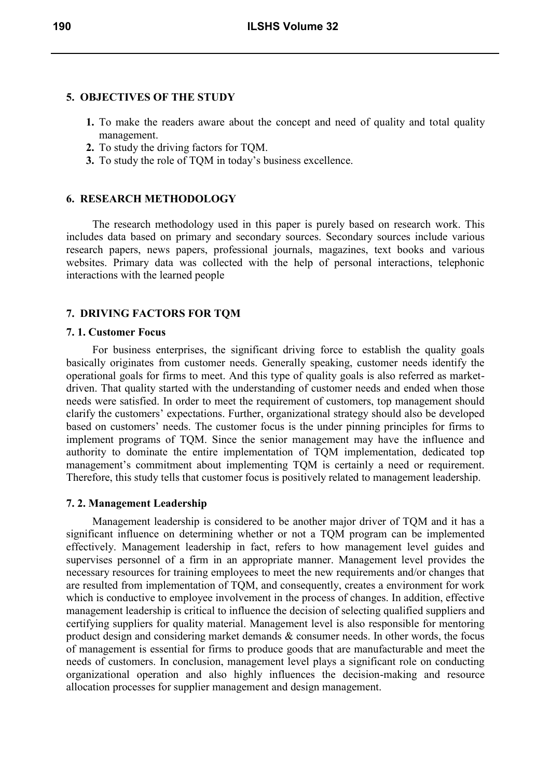# **5. OBJECTIVES OF THE STUDY**

- **1.** To make the readers aware about the concept and need of quality and total quality management.
- **2.** To study the driving factors for TQM.
- **3.** To study the role of TQM in today's business excellence.

# **6. RESEARCH METHODOLOGY**

The research methodology used in this paper is purely based on research work. This includes data based on primary and secondary sources. Secondary sources include various research papers, news papers, professional journals, magazines, text books and various websites. Primary data was collected with the help of personal interactions, telephonic interactions with the learned people

# **7. DRIVING FACTORS FOR TQM**

## **7. 1. Customer Focus**

For business enterprises, the significant driving force to establish the quality goals basically originates from customer needs. Generally speaking, customer needs identify the operational goals for firms to meet. And this type of quality goals is also referred as marketdriven. That quality started with the understanding of customer needs and ended when those needs were satisfied. In order to meet the requirement of customers, top management should clarify the customers' expectations. Further, organizational strategy should also be developed based on customers' needs. The customer focus is the under pinning principles for firms to implement programs of TQM. Since the senior management may have the influence and authority to dominate the entire implementation of TQM implementation, dedicated top management's commitment about implementing TQM is certainly a need or requirement. Therefore, this study tells that customer focus is positively related to management leadership.

## **7. 2. Management Leadership**

Management leadership is considered to be another major driver of TQM and it has a significant influence on determining whether or not a TQM program can be implemented effectively. Management leadership in fact, refers to how management level guides and supervises personnel of a firm in an appropriate manner. Management level provides the necessary resources for training employees to meet the new requirements and/or changes that are resulted from implementation of TQM, and consequently, creates a environment for work which is conductive to employee involvement in the process of changes. In addition, effective management leadership is critical to influence the decision of selecting qualified suppliers and certifying suppliers for quality material. Management level is also responsible for mentoring product design and considering market demands & consumer needs. In other words, the focus of management is essential for firms to produce goods that are manufacturable and meet the needs of customers. In conclusion, management level plays a significant role on conducting organizational operation and also highly influences the decision-making and resource allocation processes for supplier management and design management.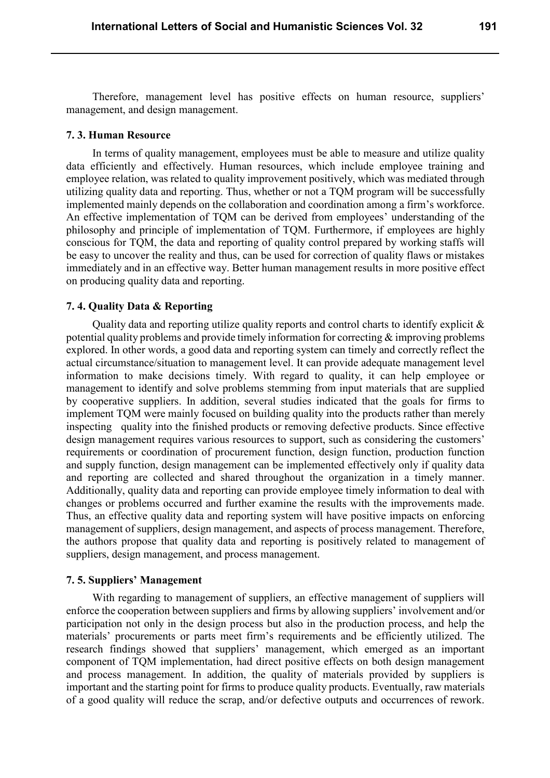Therefore, management level has positive effects on human resource, suppliers' management, and design management.

#### **7. 3. Human Resource**

In terms of quality management, employees must be able to measure and utilize quality data efficiently and effectively. Human resources, which include employee training and employee relation, was related to quality improvement positively, which was mediated through utilizing quality data and reporting. Thus, whether or not a TQM program will be successfully implemented mainly depends on the collaboration and coordination among a firm's workforce. An effective implementation of TQM can be derived from employees' understanding of the philosophy and principle of implementation of TQM. Furthermore, if employees are highly conscious for TQM, the data and reporting of quality control prepared by working staffs will be easy to uncover the reality and thus, can be used for correction of quality flaws or mistakes immediately and in an effective way. Better human management results in more positive effect on producing quality data and reporting.

## **7. 4. Quality Data & Reporting**

Quality data and reporting utilize quality reports and control charts to identify explicit  $\&$ potential quality problems and provide timely information for correcting & improving problems explored. In other words, a good data and reporting system can timely and correctly reflect the actual circumstance/situation to management level. It can provide adequate management level information to make decisions timely. With regard to quality, it can help employee or management to identify and solve problems stemming from input materials that are supplied by cooperative suppliers. In addition, several studies indicated that the goals for firms to implement TQM were mainly focused on building quality into the products rather than merely inspecting quality into the finished products or removing defective products. Since effective design management requires various resources to support, such as considering the customers' requirements or coordination of procurement function, design function, production function and supply function, design management can be implemented effectively only if quality data and reporting are collected and shared throughout the organization in a timely manner. Additionally, quality data and reporting can provide employee timely information to deal with changes or problems occurred and further examine the results with the improvements made. Thus, an effective quality data and reporting system will have positive impacts on enforcing management of suppliers, design management, and aspects of process management. Therefore, the authors propose that quality data and reporting is positively related to management of suppliers, design management, and process management.

#### **7. 5. Suppliers' Management**

With regarding to management of suppliers, an effective management of suppliers will enforce the cooperation between suppliers and firms by allowing suppliers' involvement and/or participation not only in the design process but also in the production process, and help the materials' procurements or parts meet firm's requirements and be efficiently utilized. The research findings showed that suppliers' management, which emerged as an important component of TQM implementation, had direct positive effects on both design management and process management. In addition, the quality of materials provided by suppliers is important and the starting point for firms to produce quality products. Eventually, raw materials of a good quality will reduce the scrap, and/or defective outputs and occurrences of rework.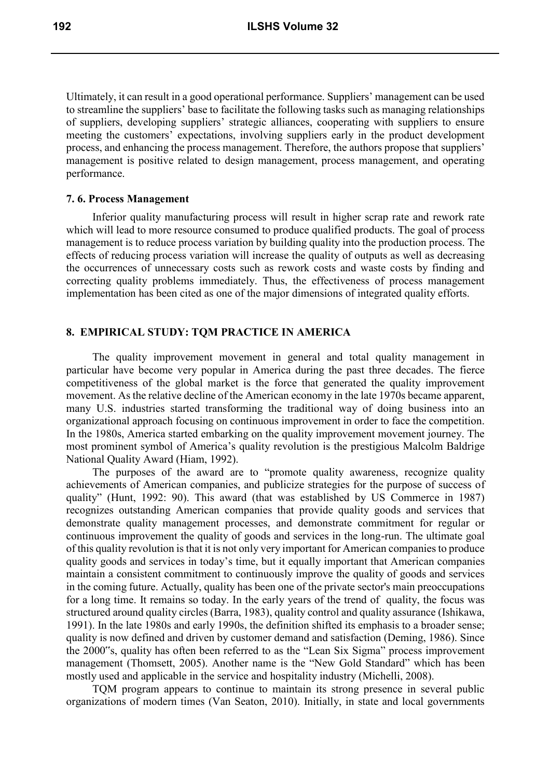Ultimately, it can result in a good operational performance. Suppliers' management can be used to streamline the suppliers' base to facilitate the following tasks such as managing relationships of suppliers, developing suppliers' strategic alliances, cooperating with suppliers to ensure meeting the customers' expectations, involving suppliers early in the product development process, and enhancing the process management. Therefore, the authors propose that suppliers' management is positive related to design management, process management, and operating performance.

## **7. 6. Process Management**

Inferior quality manufacturing process will result in higher scrap rate and rework rate which will lead to more resource consumed to produce qualified products. The goal of process management is to reduce process variation by building quality into the production process. The effects of reducing process variation will increase the quality of outputs as well as decreasing the occurrences of unnecessary costs such as rework costs and waste costs by finding and correcting quality problems immediately. Thus, the effectiveness of process management implementation has been cited as one of the major dimensions of integrated quality efforts.

# **8. EMPIRICAL STUDY: TQM PRACTICE IN AMERICA**

The quality improvement movement in general and total quality management in particular have become very popular in America during the past three decades. The fierce competitiveness of the global market is the force that generated the quality improvement movement. As the relative decline of the American economy in the late 1970s became apparent, many U.S. industries started transforming the traditional way of doing business into an organizational approach focusing on continuous improvement in order to face the competition. In the 1980s, America started embarking on the quality improvement movement journey. The most prominent symbol of America's quality revolution is the prestigious Malcolm Baldrige National Quality Award (Hiam, 1992).

The purposes of the award are to "promote quality awareness, recognize quality achievements of American companies, and publicize strategies for the purpose of success of quality" (Hunt, 1992: 90). This award (that was established by US Commerce in 1987) recognizes outstanding American companies that provide quality goods and services that demonstrate quality management processes, and demonstrate commitment for regular or continuous improvement the quality of goods and services in the long-run. The ultimate goal of this quality revolution is that it is not only very important for American companies to produce quality goods and services in today's time, but it equally important that American companies maintain a consistent commitment to continuously improve the quality of goods and services in the coming future. Actually, quality has been one of the private sector's main preoccupations for a long time. It remains so today. In the early years of the trend of quality, the focus was structured around quality circles (Barra, 1983), quality control and quality assurance (Ishikawa, 1991). In the late 1980s and early 1990s, the definition shifted its emphasis to a broader sense; quality is now defined and driven by customer demand and satisfaction (Deming, 1986). Since the 2000"s, quality has often been referred to as the "Lean Six Sigma" process improvement management (Thomsett, 2005). Another name is the "New Gold Standard" which has been mostly used and applicable in the service and hospitality industry (Michelli, 2008).

TQM program appears to continue to maintain its strong presence in several public organizations of modern times (Van Seaton, 2010). Initially, in state and local governments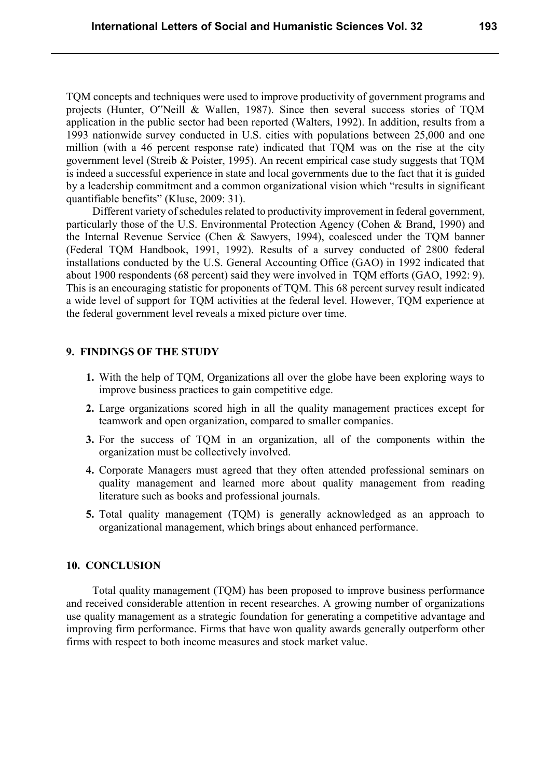TQM concepts and techniques were used to improve productivity of government programs and projects (Hunter, O"Neill & Wallen, 1987). Since then several success stories of TQM application in the public sector had been reported (Walters, 1992). In addition, results from a 1993 nationwide survey conducted in U.S. cities with populations between 25,000 and one million (with a 46 percent response rate) indicated that TQM was on the rise at the city government level (Streib & Poister, 1995). An recent empirical case study suggests that TQM is indeed a successful experience in state and local governments due to the fact that it is guided by a leadership commitment and a common organizational vision which "results in significant quantifiable benefits" (Kluse, 2009: 31).

Different variety of schedules related to productivity improvement in federal government, particularly those of the U.S. Environmental Protection Agency (Cohen & Brand, 1990) and the Internal Revenue Service (Chen & Sawyers, 1994), coalesced under the TQM banner (Federal TQM Handbook, 1991, 1992). Results of a survey conducted of 2800 federal installations conducted by the U.S. General Accounting Office (GAO) in 1992 indicated that about 1900 respondents (68 percent) said they were involved in TQM efforts (GAO, 1992: 9). This is an encouraging statistic for proponents of TQM. This 68 percent survey result indicated a wide level of support for TQM activities at the federal level. However, TQM experience at the federal government level reveals a mixed picture over time.

# **9. FINDINGS OF THE STUDY**

- **1.** With the help of TQM, Organizations all over the globe have been exploring ways to improve business practices to gain competitive edge.
- **2.** Large organizations scored high in all the quality management practices except for teamwork and open organization, compared to smaller companies.
- **3.** For the success of TQM in an organization, all of the components within the organization must be collectively involved.
- **4.** Corporate Managers must agreed that they often attended professional seminars on quality management and learned more about quality management from reading literature such as books and professional journals.
- **5.** Total quality management (TQM) is generally acknowledged as an approach to organizational management, which brings about enhanced performance.

## **10. CONCLUSION**

Total quality management (TQM) has been proposed to improve business performance and received considerable attention in recent researches. A growing number of organizations use quality management as a strategic foundation for generating a competitive advantage and improving firm performance. Firms that have won quality awards generally outperform other firms with respect to both income measures and stock market value.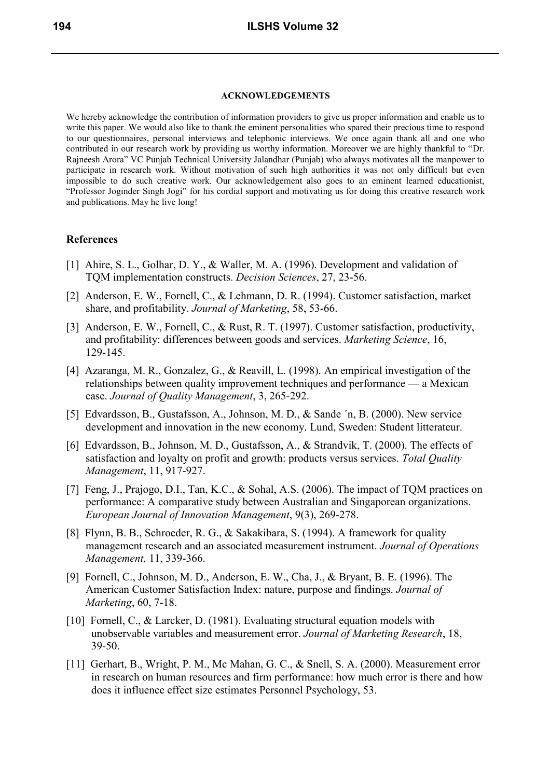#### **ACKNOWLEDGEMENTS**

We hereby acknowledge the contribution of information providers to give us proper information and enable us to write this paper. We would also like to thank the eminent personalities who spared their precious time to respond to our questionnaires, personal interviews and telephonic interviews. We once again thank all and one who contributed in our research work by providing us worthy information. Moreover we are highly thankful to "Dr. Rajneesh Arora" VC Punjab Technical University Jalandhar (Punjab) who always motivates all the manpower to participate in research work. Without motivation of such high authorities it was not only difficult but even impossible to do such creative work. Our acknowledgement also goes to an eminent learned educationist, "Professor Joginder Singh Jogi" for his cordial support and motivating us for doing this creative research work and publications. May he live long!

#### **References**

- [1] Ahire, S. L., Golhar, D. Y., & Waller, M. A. (1996). Development and validation of TQM implementation constructs. *Decision Sciences*, 27, 23-56.
- [2] Anderson, E. W., Fornell, C., & Lehmann, D. R. (1994). Customer satisfaction, market share, and profitability. *Journal of Marketing*, 58, 53-66.
- [3] Anderson, E. W., Fornell, C., & Rust, R. T. (1997). Customer satisfaction, productivity, and profitability: differences between goods and services. *Marketing Science*, 16, 129-145.
- [4] Azaranga, M. R., Gonzalez, G., & Reavill, L. (1998). An empirical investigation of the relationships between quality improvement techniques and performance — a Mexican case. *Journal of Quality Management*, 3, 265-292.
- [5] Edvardsson, B., Gustafsson, A., Johnson, M. D., & Sande ´n, B. (2000). New service development and innovation in the new economy. Lund, Sweden: Student litterateur.
- [6] Edvardsson, B., Johnson, M. D., Gustafsson, A., & Strandvik, T. (2000). The effects of satisfaction and loyalty on profit and growth: products versus services. *Total Quality Management*, 11, 917-927.
- [7] Feng, J., Prajogo, D.I., Tan, K.C., & Sohal, A.S. (2006). The impact of TQM practices on performance: A comparative study between Australian and Singaporean organizations. *European Journal of Innovation Management*, 9(3), 269-278.
- [8] Flynn, B. B., Schroeder, R. G., & Sakakibara, S. (1994). A framework for quality management research and an associated measurement instrument. *Journal of Operations Management,* 11, 339-366.
- [9] Fornell, C., Johnson, M. D., Anderson, E. W., Cha, J., & Bryant, B. E. (1996). The American Customer Satisfaction Index: nature, purpose and findings. *Journal of Marketing*, 60, 7-18.
- [10] Fornell, C., & Larcker, D. (1981). Evaluating structural equation models with unobservable variables and measurement error. *Journal of Marketing Research*, 18, 39-50.
- [11] Gerhart, B., Wright, P. M., Mc Mahan, G. C., & Snell, S. A. (2000). Measurement error in research on human resources and firm performance: how much error is there and how does it influence effect size estimates Personnel Psychology, 53.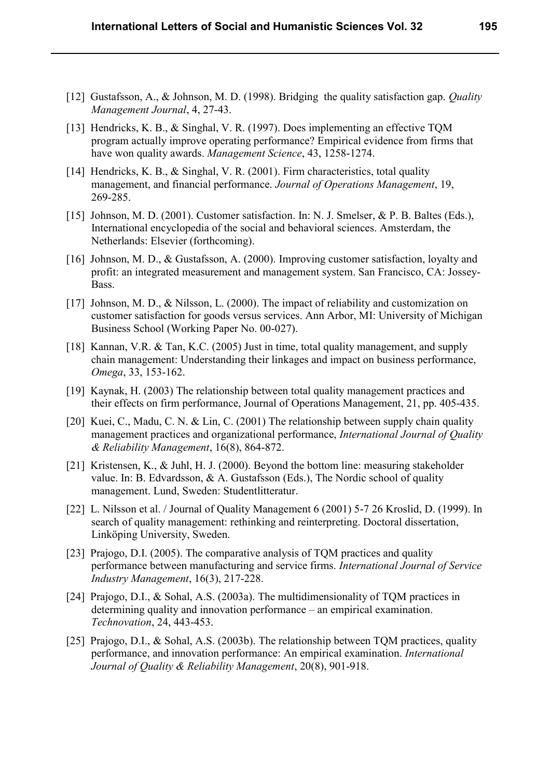- [12] Gustafsson, A., & Johnson, M. D. (1998). Bridging the quality satisfaction gap. *Quality Management Journal*, 4, 27-43.
- [13] Hendricks, K. B., & Singhal, V. R. (1997). Does implementing an effective TQM program actually improve operating performance? Empirical evidence from firms that have won quality awards. *Management Science*, 43, 1258-1274.
- [14] Hendricks, K. B., & Singhal, V. R. (2001). Firm characteristics, total quality management, and financial performance. *Journal of Operations Management*, 19, 269-285.
- [15] Johnson, M. D. (2001). Customer satisfaction. In: N. J. Smelser, & P. B. Baltes (Eds.), International encyclopedia of the social and behavioral sciences. Amsterdam, the Netherlands: Elsevier (forthcoming).
- [16] Johnson, M. D., & Gustafsson, A. (2000). Improving customer satisfaction, loyalty and profit: an integrated measurement and management system. San Francisco, CA: Jossey- Bass.
- [17] Johnson, M. D., & Nilsson, L. (2000). The impact of reliability and customization on customer satisfaction for goods versus services. Ann Arbor, MI: University of Michigan Business School (Working Paper No. 00-027).
- [18] Kannan, V.R. & Tan, K.C. (2005) Just in time, total quality management, and supply chain management: Understanding their linkages and impact on business performance, *Omega*, 33, 153-162.
- [19] Kaynak, H. (2003) The relationship between total quality management practices and their effects on firm performance, Journal of Operations Management, 21, pp. 405-435.
- [20] Kuei, C., Madu, C. N. & Lin, C. (2001) The relationship between supply chain quality management practices and organizational performance, *International Journal of Quality & Reliability Management*, 16(8), 864-872.
- [21] Kristensen, K., & Juhl, H. J. (2000). Beyond the bottom line: measuring stakeholder value. In: B. Edvardsson,  $\& A$ . Gustafsson (Eds.), The Nordic school of quality management. Lund, Sweden: Studentlitteratur.
- [22] L. Nilsson et al. / Journal of Quality Management 6 (2001) 5-7 26 Kroslid, D. (1999). In search of quality management: rethinking and reinterpreting. Doctoral dissertation, Linköping University, Sweden.
- [23] Prajogo, D.I. (2005). The comparative analysis of TQM practices and quality performance between manufacturing and service firms. *International Journal of Service Industry Management*, 16(3), 217-228.
- [24] Prajogo, D.I., & Sohal, A.S. (2003a). The multidimensionality of TQM practices in determining quality and innovation performance – an empirical examination.  *Technovation*, 24, 443-453.
- [25] Prajogo, D.I., & Sohal, A.S. (2003b). The relationship between TQM practices, quality performance, and innovation performance: An empirical examination. *International Journal of Quality & Reliability Management*, 20(8), 901-918.